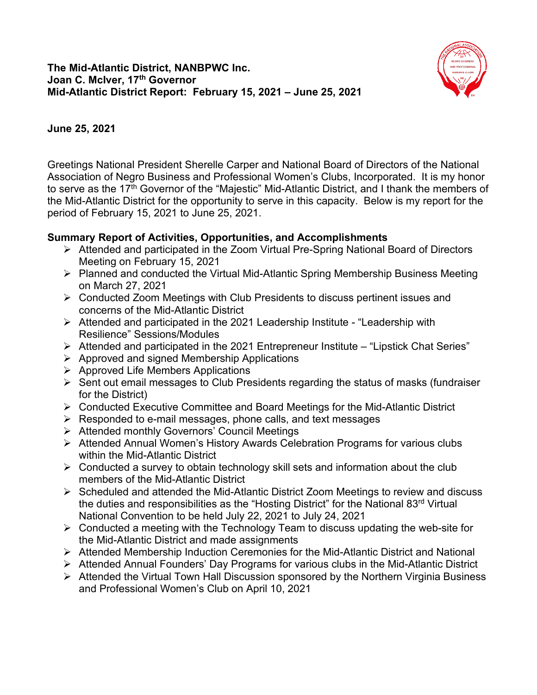

## **June 25, 2021**

Greetings National President Sherelle Carper and National Board of Directors of the National Association of Negro Business and Professional Women's Clubs, Incorporated. It is my honor to serve as the 17<sup>th</sup> Governor of the "Majestic" Mid-Atlantic District, and I thank the members of the Mid-Atlantic District for the opportunity to serve in this capacity. Below is my report for the period of February 15, 2021 to June 25, 2021.

## **Summary Report of Activities, Opportunities, and Accomplishments**

- Attended and participated in the Zoom Virtual Pre-Spring National Board of Directors Meeting on February 15, 2021
- Planned and conducted the Virtual Mid-Atlantic Spring Membership Business Meeting on March 27, 2021
- Conducted Zoom Meetings with Club Presidents to discuss pertinent issues and concerns of the Mid-Atlantic District
- Attended and participated in the 2021 Leadership Institute "Leadership with Resilience" Sessions/Modules
- $\triangleright$  Attended and participated in the 2021 Entrepreneur Institute "Lipstick Chat Series"
- $\triangleright$  Approved and signed Membership Applications
- $\triangleright$  Approved Life Members Applications
- $\triangleright$  Sent out email messages to Club Presidents regarding the status of masks (fundraiser for the District)
- Conducted Executive Committee and Board Meetings for the Mid-Atlantic District
- $\triangleright$  Responded to e-mail messages, phone calls, and text messages
- Attended monthly Governors' Council Meetings
- Attended Annual Women's History Awards Celebration Programs for various clubs within the Mid-Atlantic District
- $\triangleright$  Conducted a survey to obtain technology skill sets and information about the club members of the Mid-Atlantic District
- $\triangleright$  Scheduled and attended the Mid-Atlantic District Zoom Meetings to review and discuss the duties and responsibilities as the "Hosting District" for the National 83<sup>rd</sup> Virtual National Convention to be held July 22, 2021 to July 24, 2021
- $\triangleright$  Conducted a meeting with the Technology Team to discuss updating the web-site for the Mid-Atlantic District and made assignments
- Attended Membership Induction Ceremonies for the Mid-Atlantic District and National
- Attended Annual Founders' Day Programs for various clubs in the Mid-Atlantic District
- **EX** Attended the Virtual Town Hall Discussion sponsored by the Northern Virginia Business and Professional Women's Club on April 10, 2021